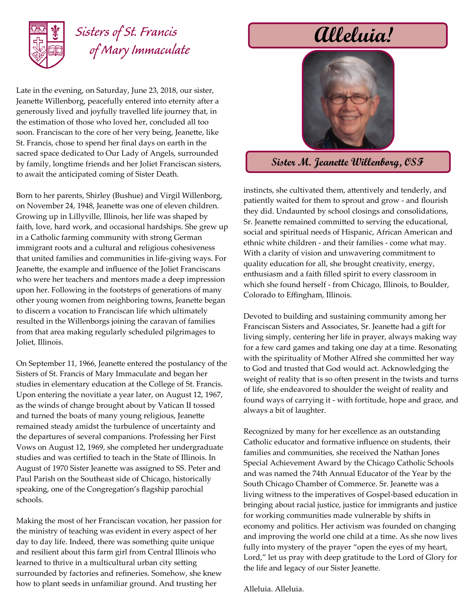

## *Sisters of St. Francis of Mary Immaculate*

Late in the evening, on Saturday, June 23, 2018, our sister, Jeanette Willenborg, peacefully entered into eternity after a generously lived and joyfully travelled life journey that, in the estimation of those who loved her, concluded all too soon. Franciscan to the core of her very being, Jeanette, like St. Francis, chose to spend her final days on earth in the sacred space dedicated to Our Lady of Angels, surrounded by family, longtime friends and her Joliet Franciscan sisters, to await the anticipated coming of Sister Death.

Born to her parents, Shirley (Bushue) and Virgil Willenborg, on November 24, 1948, Jeanette was one of eleven children. Growing up in Lillyville, Illinois, her life was shaped by faith, love, hard work, and occasional hardships. She grew up in a Catholic farming community with strong German immigrant roots and a cultural and religious cohesiveness that united families and communities in life-giving ways. For Jeanette, the example and influence of the Joliet Franciscans who were her teachers and mentors made a deep impression upon her. Following in the footsteps of generations of many other young women from neighboring towns, Jeanette began to discern a vocation to Franciscan life which ultimately resulted in the Willenborgs joining the caravan of families from that area making regularly scheduled pilgrimages to Joliet, Illinois.

On September 11, 1966, Jeanette entered the postulancy of the Sisters of St. Francis of Mary Immaculate and began her studies in elementary education at the College of St. Francis. Upon entering the novitiate a year later, on August 12, 1967, as the winds of change brought about by Vatican II tossed and turned the boats of many young religious, Jeanette remained steady amidst the turbulence of uncertainty and the departures of several companions. Professing her First Vows on August 12, 1969, she completed her undergraduate studies and was certified to teach in the State of Illinois. In August of 1970 Sister Jeanette was assigned to SS. Peter and Paul Parish on the Southeast side of Chicago, historically speaking, one of the Congregation's flagship parochial schools.

Making the most of her Franciscan vocation, her passion for the ministry of teaching was evident in every aspect of her day to day life. Indeed, there was something quite unique and resilient about this farm girl from Central Illinois who learned to thrive in a multicultural urban city setting surrounded by factories and refineries. Somehow, she knew how to plant seeds in unfamiliar ground. And trusting her

# **Alleluia!**



#### **Sister M. Jeanette Willenborg, OSF**

instincts, she cultivated them, attentively and tenderly, and patiently waited for them to sprout and grow - and flourish they did. Undaunted by school closings and consolidations, Sr. Jeanette remained committed to serving the educational, social and spiritual needs of Hispanic, African American and ethnic white children - and their families - come what may. With a clarity of vision and unwavering commitment to quality education for all, she brought creativity, energy, enthusiasm and a faith filled spirit to every classroom in which she found herself - from Chicago, Illinois, to Boulder, Colorado to Effingham, Illinois.

Devoted to building and sustaining community among her Franciscan Sisters and Associates, Sr. Jeanette had a gift for living simply, centering her life in prayer, always making way for a few card games and taking one day at a time. Resonating with the spirituality of Mother Alfred she committed her way to God and trusted that God would act. Acknowledging the weight of reality that is so often present in the twists and turns of life, she endeavored to shoulder the weight of reality and found ways of carrying it - with fortitude, hope and grace, and always a bit of laughter.

Recognized by many for her excellence as an outstanding Catholic educator and formative influence on students, their families and communities, she received the Nathan Jones Special Achievement Award by the Chicago Catholic Schools and was named the 74th Annual Educator of the Year by the South Chicago Chamber of Commerce. Sr. Jeanette was a living witness to the imperatives of Gospel-based education in bringing about racial justice, justice for immigrants and justice for working communities made vulnerable by shifts in economy and politics. Her activism was founded on changing and improving the world one child at a time. As she now lives fully into mystery of the prayer "open the eyes of my heart, Lord," let us pray with deep gratitude to the Lord of Glory for the life and legacy of our Sister Jeanette.

Alleluia. Alleluia.